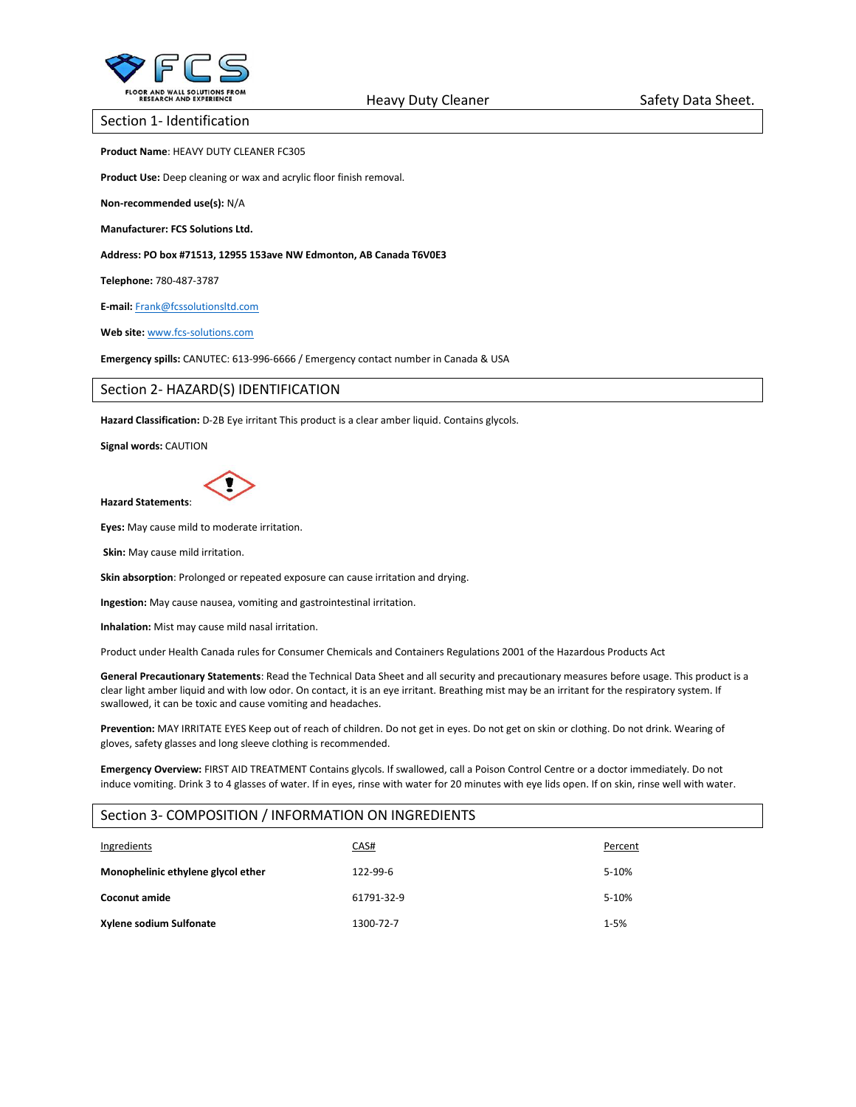

Section 1- Identification

**Product Name**: HEAVY DUTY CLEANER FC305

**Product Use:** Deep cleaning or wax and acrylic floor finish removal.

**Non-recommended use(s):** N/A

**Manufacturer: FCS Solutions Ltd.**

**Address: PO box #71513, 12955 153ave NW Edmonton, AB Canada T6V0E3**

**Telephone:** 780-487-3787

**E-mail:** [Frank@fcssolutionsltd.com](mailto:Frank@fcssolutionsltd.com)

**Web site:** [www.fcs-solutions.com](http://www.fcs-solutions.com/)

**Emergency spills:** CANUTEC: 613-996-6666 / Emergency contact number in Canada & USA

## Section 2- HAZARD(S) IDENTIFICATION

**Hazard Classification:** D-2B Eye irritant This product is a clear amber liquid. Contains glycols.

**Signal words:** CAUTION



**Eyes:** May cause mild to moderate irritation.

**Skin:** May cause mild irritation.

**Skin absorption**: Prolonged or repeated exposure can cause irritation and drying.

**Ingestion:** May cause nausea, vomiting and gastrointestinal irritation.

**Inhalation:** Mist may cause mild nasal irritation.

Product under Health Canada rules for Consumer Chemicals and Containers Regulations 2001 of the Hazardous Products Act

**General Precautionary Statements**: Read the Technical Data Sheet and all security and precautionary measures before usage. This product is a clear light amber liquid and with low odor. On contact, it is an eye irritant. Breathing mist may be an irritant for the respiratory system. If swallowed, it can be toxic and cause vomiting and headaches.

**Prevention:** MAY IRRITATE EYES Keep out of reach of children. Do not get in eyes. Do not get on skin or clothing. Do not drink. Wearing of gloves, safety glasses and long sleeve clothing is recommended.

**Emergency Overview:** FIRST AID TREATMENT Contains glycols. If swallowed, call a Poison Control Centre or a doctor immediately. Do not induce vomiting. Drink 3 to 4 glasses of water. If in eyes, rinse with water for 20 minutes with eye lids open. If on skin, rinse well with water.

## Section 3- COMPOSITION / INFORMATION ON INGREDIENTS

| Ingredients                        | CAS#       | Percent  |
|------------------------------------|------------|----------|
| Monophelinic ethylene glycol ether | 122-99-6   | 5-10%    |
| <b>Coconut amide</b>               | 61791-32-9 | 5-10%    |
| Xylene sodium Sulfonate            | 1300-72-7  | $1 - 5%$ |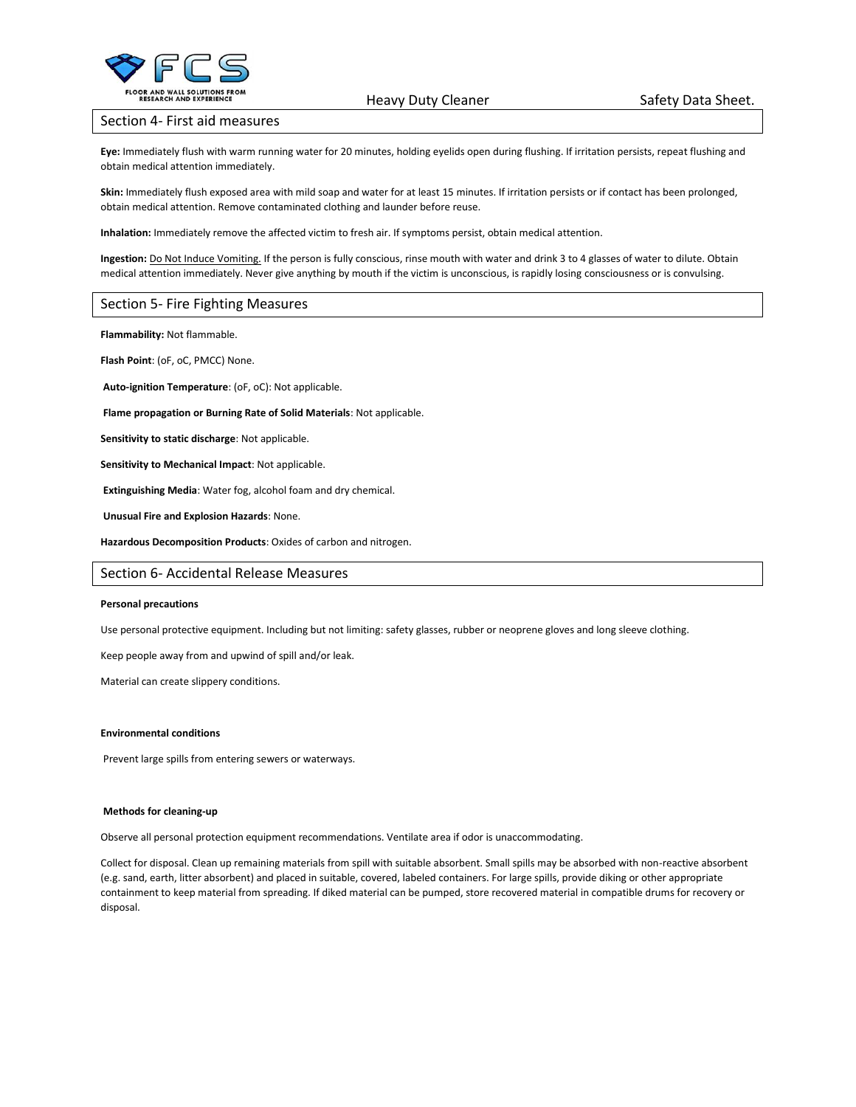

#### Section 4- First aid measures

**Eye:** Immediately flush with warm running water for 20 minutes, holding eyelids open during flushing. If irritation persists, repeat flushing and obtain medical attention immediately.

**Skin:** Immediately flush exposed area with mild soap and water for at least 15 minutes. If irritation persists or if contact has been prolonged, obtain medical attention. Remove contaminated clothing and launder before reuse.

**Inhalation:** Immediately remove the affected victim to fresh air. If symptoms persist, obtain medical attention.

**Ingestion:** Do Not Induce Vomiting. If the person is fully conscious, rinse mouth with water and drink 3 to 4 glasses of water to dilute. Obtain medical attention immediately. Never give anything by mouth if the victim is unconscious, is rapidly losing consciousness or is convulsing.

## Section 5- Fire Fighting Measures

**Flammability:** Not flammable.

**Flash Point**: (oF, oC, PMCC) None.

**Auto-ignition Temperature**: (oF, oC): Not applicable.

**Flame propagation or Burning Rate of Solid Materials**: Not applicable.

**Sensitivity to static discharge**: Not applicable.

**Sensitivity to Mechanical Impact**: Not applicable.

**Extinguishing Media**: Water fog, alcohol foam and dry chemical.

**Unusual Fire and Explosion Hazards**: None.

**Hazardous Decomposition Products**: Oxides of carbon and nitrogen.

## Section 6- Accidental Release Measures

#### **Personal precautions**

Use personal protective equipment. Including but not limiting: safety glasses, rubber or neoprene gloves and long sleeve clothing.

Keep people away from and upwind of spill and/or leak.

Material can create slippery conditions.

#### **Environmental conditions**

Prevent large spills from entering sewers or waterways.

#### **Methods for cleaning-up**

Observe all personal protection equipment recommendations. Ventilate area if odor is unaccommodating.

Collect for disposal. Clean up remaining materials from spill with suitable absorbent. Small spills may be absorbed with non-reactive absorbent (e.g. sand, earth, litter absorbent) and placed in suitable, covered, labeled containers. For large spills, provide diking or other appropriate containment to keep material from spreading. If diked material can be pumped, store recovered material in compatible drums for recovery or disposal.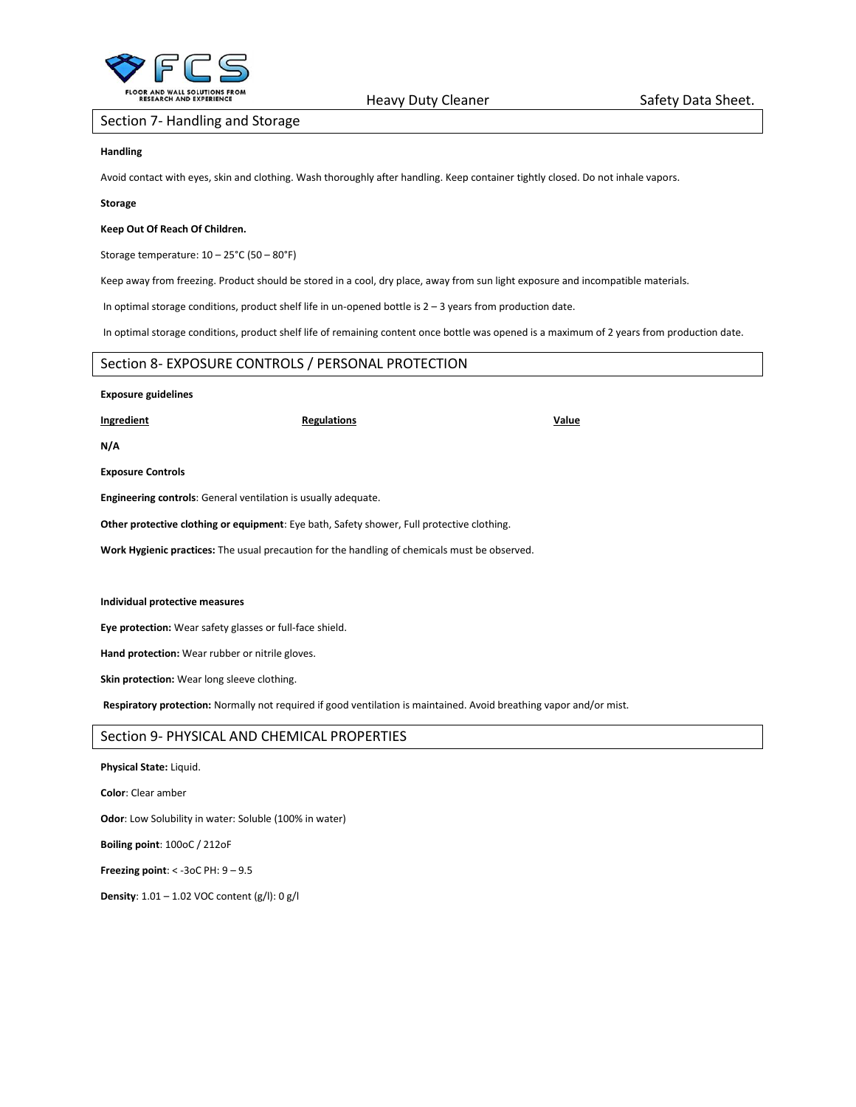

## Section 7- Handling and Storage

## **Handling**

Avoid contact with eyes, skin and clothing. Wash thoroughly after handling. Keep container tightly closed. Do not inhale vapors.

#### **Storage**

## **Keep Out Of Reach Of Children.**

Storage temperature: 10 – 25°C (50 – 80°F)

Keep away from freezing. Product should be stored in a cool, dry place, away from sun light exposure and incompatible materials.

In optimal storage conditions, product shelf life in un-opened bottle is 2 – 3 years from production date.

In optimal storage conditions, product shelf life of remaining content once bottle was opened is a maximum of 2 years from production date.

# Section 8- EXPOSURE CONTROLS / PERSONAL PROTECTION

## **Exposure guidelines**

**Ingredient Regulations Regulations Regulations Value** 

**N/A**

**Exposure Controls**

**Engineering controls**: General ventilation is usually adequate.

**Other protective clothing or equipment**: Eye bath, Safety shower, Full protective clothing.

**Work Hygienic practices:** The usual precaution for the handling of chemicals must be observed.

#### **Individual protective measures**

**Eye protection:** Wear safety glasses or full-face shield.

**Hand protection:** Wear rubber or nitrile gloves.

**Skin protection:** Wear long sleeve clothing.

**Respiratory protection:** Normally not required if good ventilation is maintained. Avoid breathing vapor and/or mist.

## Section 9- PHYSICAL AND CHEMICAL PROPERTIES

**Physical State:** Liquid.

**Color**: Clear amber

**Odor**: Low Solubility in water: Soluble (100% in water)

**Boiling point**: 100oC / 212oF

**Freezing point**: < -3oC PH: 9 – 9.5

**Density**: 1.01 – 1.02 VOC content (g/l): 0 g/l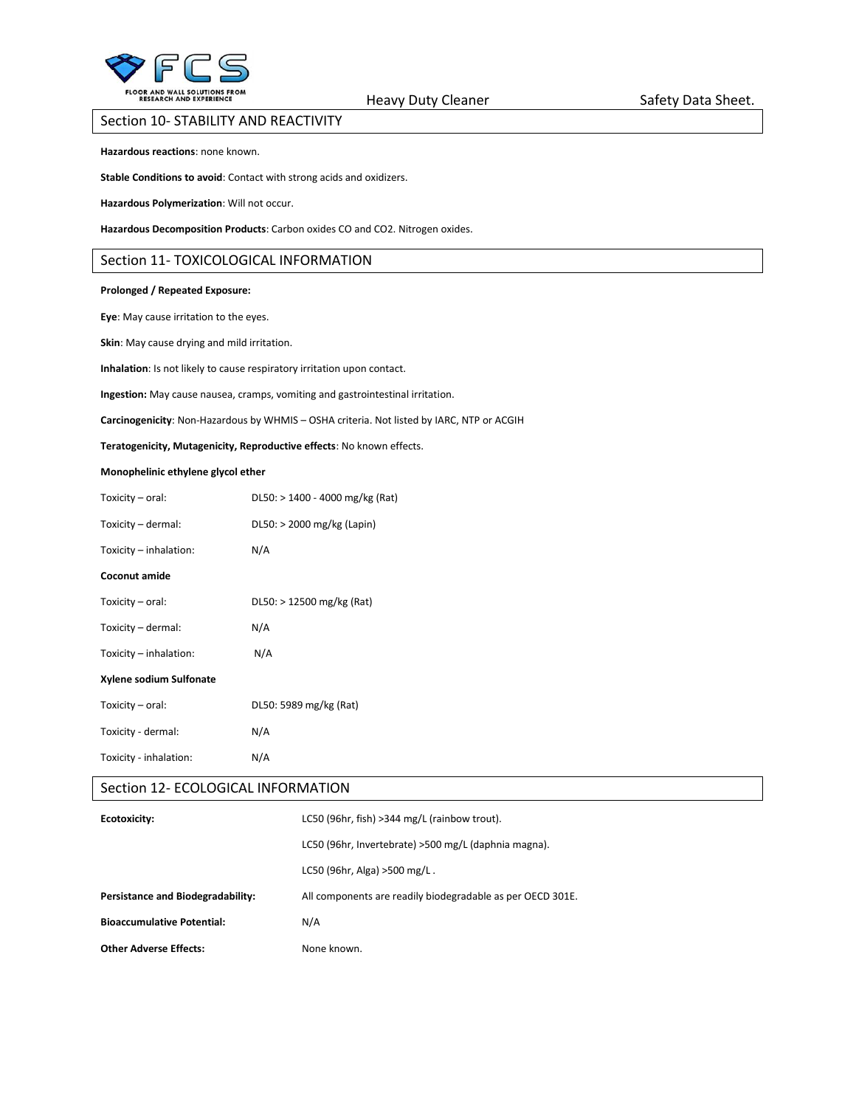

## Section 10- STABILITY AND REACTIVITY

**Hazardous reactions**: none known.

**Stable Conditions to avoid**: Contact with strong acids and oxidizers.

**Hazardous Polymerization**: Will not occur.

**Hazardous Decomposition Products**: Carbon oxides CO and CO2. Nitrogen oxides.

## Section 11- TOXICOLOGICAL INFORMATION

#### **Prolonged / Repeated Exposure:**

**Eye**: May cause irritation to the eyes.

**Skin**: May cause drying and mild irritation.

**Inhalation**: Is not likely to cause respiratory irritation upon contact.

**Ingestion:** May cause nausea, cramps, vomiting and gastrointestinal irritation.

**Carcinogenicity**: Non-Hazardous by WHMIS – OSHA criteria. Not listed by IARC, NTP or ACGIH

**Teratogenicity, Mutagenicity, Reproductive effects**: No known effects.

#### **Monophelinic ethylene glycol ether**

| DL50: > 1400 - 4000 mg/kg (Rat) |  |
|---------------------------------|--|
| DL50: > 2000 mg/kg (Lapin)      |  |
| N/A                             |  |
|                                 |  |
| $DL50:$ > 12500 mg/kg (Rat)     |  |
| N/A                             |  |
| N/A                             |  |
|                                 |  |
| DL50: 5989 mg/kg (Rat)          |  |
| N/A                             |  |
| N/A                             |  |
|                                 |  |

## Section 12- ECOLOGICAL INFORMATION

| Ecotoxicity:                      | LC50 (96hr, fish) > 344 mg/L (rainbow trout).              |
|-----------------------------------|------------------------------------------------------------|
|                                   | LC50 (96hr, Invertebrate) > 500 mg/L (daphnia magna).      |
|                                   | LC50 (96hr, Alga) >500 mg/L.                               |
| Persistance and Biodegradability: | All components are readily biodegradable as per OECD 301E. |
| <b>Bioaccumulative Potential:</b> | N/A                                                        |
| <b>Other Adverse Effects:</b>     | None known.                                                |